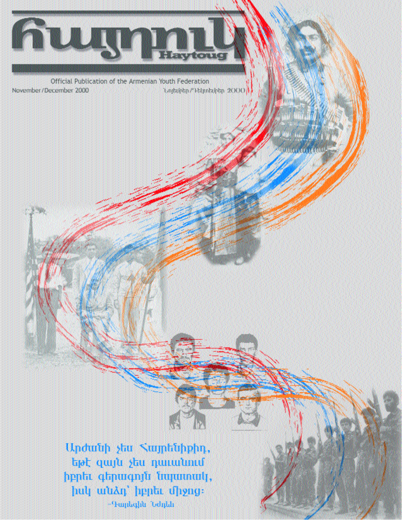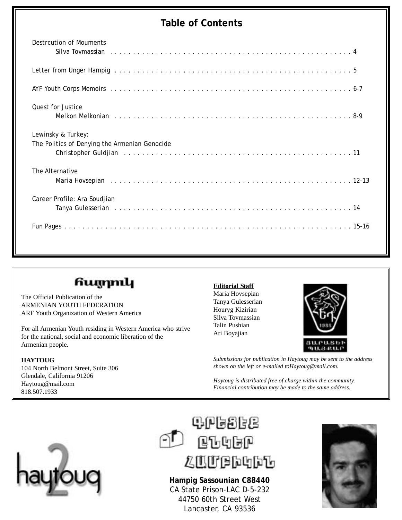### **Table of Contents**

| Destrcution of Mouments                                                                                                                                        |
|----------------------------------------------------------------------------------------------------------------------------------------------------------------|
|                                                                                                                                                                |
|                                                                                                                                                                |
|                                                                                                                                                                |
| <b>Ouest for Justice</b>                                                                                                                                       |
| Melkon Melkonian runder and a series and a series and a series and a series and a series and a series and seri                                                 |
| Lewinsky & Turkey:                                                                                                                                             |
| The Politics of Denying the Armenian Genocide<br>Christopher Guldjian research and contact the contract of the contract of the contract of the contract of the |
| The Alternative                                                                                                                                                |
|                                                                                                                                                                |
| Career Profile: Ara Soudjian                                                                                                                                   |
|                                                                                                                                                                |
|                                                                                                                                                                |
|                                                                                                                                                                |

### հայրուկ

The Official Publication of the ARMENIAN YOUTH FEDERATION ARF Youth Organization of Western America

For all Armenian Youth residing in Western America who strive for the national, social and economic liberation of the Armenian people.

### **HAYTOUG**

104 North Belmont Street, Suite 306 Glendale, California 91206 Haytoug@mail.com 818.507.1933

### **Editorial Staff**

Maria Hovsepian Tanya Gulesserian Houryg Kizirian Silva Tovmassian Talin Pushian Ari Boyajian



*Submissions for publication in Haytoug may be sent to the address shown on the left or e-mailed toHaytoug@mail.com.*

*Haytoug is distributed free of charge within the community. Financial contribution may be made to the same address.*





**Hampig Sassounian C88440** CA State Prison-LAC D-5-232 44750 60th Street West Lancaster, CA 93536

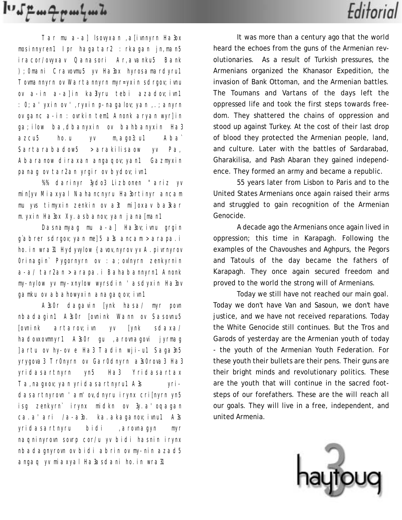$I^{\prime\prime}$ 

Tar mu a-a] lsovyxan ,a[ivnnyrn Ha3ox mosinnyren1 Ipr hagatar2 : rkagan jn,man5 iracor/ovyxav Qanasori Ar,avanku5 Bank );0mani Cravovmu5 yv Ha3ox hyrosamardyru1 Towmannyrn ov Wartannyrn myr=yxin sdrgov; ivnu ov a-in a-a]in ka3lyru tebi azadov; ivn1 :0;a'yxin ov ',ryxin p-nagalov;yan ,.;anyrn ov ganc a-in : ovrkin tem1 Anonk aryan wyr]in ga;ilow ba,dbanyxin ov bahbanyxin Ha3 azcu5 ho.u yv m,ago3;u1 Aba` Sartarabadow5 >arakilisaow yv Pa, Abaranow diraxan angagov; yan1 Gazmyxin panag ov tar2an yrgir ov bydov; ivn1

%% darinyr 3ydo3 Lizbonen "ariz yv min[yv Miaxyal Nahancnyru Ha3ortinyr ancam mu yvs timyxin zenkin ov a3t mi]oxav ba3kar m. yxin Ha3ox Xy. asbanov; yan jana[man1

Dasnamyag mu a-a] Ha3ov; ivnu grgin g`abrer sdrgov;yan me]5 a3s ancam >arapa.i ho. in wra31 Hydyvylow {avov, nyrov yv A. pivrnyrov Orinagin` Pygornyrn ov : a; ovlnyrn zenkyrnin a-a/ tar2an >arapa.i Bahabannyrn1 Anonk my-nylow yv my-xnylow wyrsdin 'asdyxin Ha3ov gamku ov abahowyxin anagaqov; ivn1

A3s0r dagavin [ynk hasa/ myr povn nbadagin1 A3s0r [ovnink Wann ov Sasovnu5 [ovnink artarov;ivn yv [ynk sdaxa/ hadovxovmnyr1 A3s0r gu ,arovnagovi jyrmag ]artu ov hy-ov e Ha3 Tadin wji-u1 Saga3n5 yrygova3 Tr0nyrn ov Gar0dnyrn a3s0rova3 Ha3 yridasartnyrn yn5 Ha3 Yridasartax Ta, nagxov; yan yridasartnyru1 A3s yridasartnyrovn 'am'ov,dnyru irynx cri[nyrn yn5 isg zenkyrn` irynx midkn ov 3y.a'oqagan ca.a'ari /a-a3o. ka.akaganov; ivnu1 A3s yridasartnyru bidi ,arovnagyn myr naqninyrovn sovrp cor/u yv bidi hasnin irynx nbadagnyrovn ov bidi abrin ov my-nin azad5 angaq yv miaxyal Ha3asdani ho.in wra31

It was more than a century ago that the world heard the echoes from the guns of the Armenian revolutionaries. As a result of Turkish pressures, the Armenians organized the Khanasor Expedition, the invasion of Bank Ottoman, and the Armenian battles. The Toumans and Vartans of the days left the oppressed life and took the first steps towards freedom. They shattered the chains of oppression and stood up against Turkey. At the cost of their last drop of blood they protected the Armenian people, land, and culture. Later with the battles of Sardarabad, Gharakilisa, and Pash Abaran they gained independence. They formed an army and became a republic.

Editorial

55 years later from Lisbon to Paris and to the United States Armenians once again raised their arms and struggled to gain recognition of the Armenian Genocide.

A decade ago the Armenians once again lived in oppression; this time in Karapagh. Following the examples of the Chavoushes and Aghpurs, the Pegors and Tatouls of the day became the fathers of Karapagh. They once again secured freedom and proved to the world the strong will of Armenians.

Today we still have not reached our main goal. Today we don't have Van and Sasoun, we don't have justice, and we have not received reparations. Today the White Genocide still continues. But the Tros and Garods of yesterday are the Armenian youth of today - the youth of the Armenian Youth Federation. For these youth their bullets are their pens. Their guns are their bright minds and revolutionary politics. These are the youth that will continue in the sacred footsteps of our forefathers. These are the will reach all our goals. They will live in a free, independent, and united Armenia.

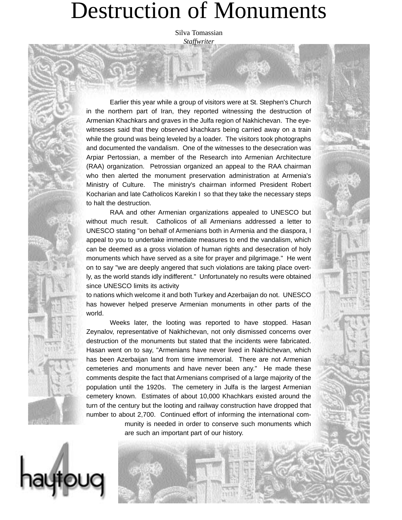# Destruction of Monuments

Silva Tomassian *Staffwriter*

Earlier this year while a group of visitors were at St. Stephen's Church in the northern part of Iran, they reported witnessing the destruction of Armenian Khachkars and graves in the Julfa region of Nakhichevan. The eyewitnesses said that they observed khachkars being carried away on a train while the ground was being leveled by a loader. The visitors took photographs and documented the vandalism. One of the witnesses to the desecration was Arpiar Pertossian, a member of the Research into Armenian Architecture (RAA) organization. Petrossian organized an appeal to the RAA chairman who then alerted the monument preservation administration at Armenia's Ministry of Culture. The ministry's chairman informed President Robert Kocharian and late Catholicos Karekin I so that they take the necessary steps to halt the destruction.

RAA and other Armenian organizations appealed to UNESCO but without much result. Catholicos of all Armenians addressed a letter to UNESCO stating "on behalf of Armenians both in Armenia and the diaspora, I appeal to you to undertake immediate measures to end the vandalism, which can be deemed as a gross violation of human rights and desecration of holy monuments which have served as a site for prayer and pilgrimage." He went on to say "we are deeply angered that such violations are taking place overtly, as the world stands idly indifferent." Unfortunately no results were obtained since UNESCO limits its activity

to nations which welcome it and both Turkey and Azerbaijan do not. UNESCO has however helped preserve Armenian monuments in other parts of the world.

Weeks later, the looting was reported to have stopped. Hasan Zeynalov, representative of Nakhichevan, not only dismissed concerns over destruction of the monuments but stated that the incidents were fabricated. Hasan went on to say, "Armenians have never lived in Nakhichevan, which has been Azerbaijan land from time immemorial. There are not Armenian cemeteries and monuments and have never been any." He made these comments despite the fact that Armenians comprised of a large majority of the population until the 1920s. The cemetery in Julfa is the largest Armenian cemetery known. Estimates of about 10,000 Khachkars existed around the turn of the century but the looting and railway construction have dropped that number to about 2,700. Continued effort of informing the international community is needed in order to conserve such monuments which

are such an important part of our history.

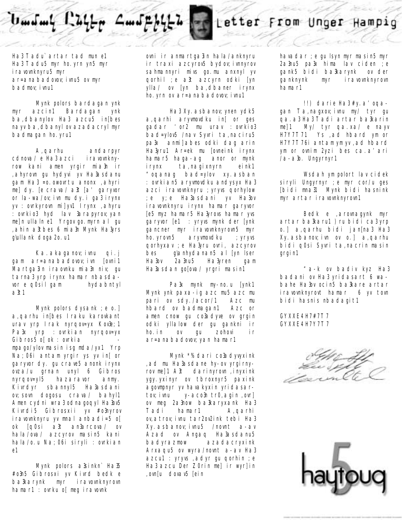# $U$  and any  $L^2 U + \pi$   $\mathcal{L}$  and  $\mu$

## Letter From Unger Hampig

Ha3 Tadu` artar tad mun e1 Ha3 Tadu5 myr ho.yrn yn5 myr iravovnknyru5 myr ar=anabadovov;ivnu5 ov myr badmov; ivnu1

Mynk polors bardagan ynk myr azcin1 Bardagan ynk ba,dbanylov Ha3 azcu5 in[bes nayv ba,dbanyl ov azadacryl myr badmagan ho.yru1

A,qarhu andarpyr cdnova/ e Ha3 azci iravovnknyrow kani amen yrgir mia3n ir ,ahyrovn gu hydyvi yv Ha3asdanu gam Ha3 =o.owovrtu anonx ,ahyri me] dy. [e crava/ a3t [a' garyvor or la-wa/ov;ivn mu dy.i ga3 irynx yv : ovrkyrovn mi]yv1 Irynx , ahyru : ovrkio3 hyd lav 3arapyrov; yan me]n ullaln e1 Yrgov go.myrn al gu ,ahin a3tbes 6 mia3n Mynk Ha3yrs glullank doga2o.u1

Ka.akaganov;ivnu qi.j gam ar=anabadovov; ivn [ovni1 Martga3in iraovnku mia3n niv; gu tarna3 yrp irynx hamar nbasdavor e q0sil gam hydabntyl a3t1

Mynk polors dysank; e o.] a,qarhu in[bes Iraku karovkant urav yrp Irak nyrqov=yx Kov3e;1 Pa3x yrp : ovrkian nyrqov=yx Gibros $5$  of ok : ovrkia mpago/ylov masin isg mda/yx1 Yrp Na;06i antam yrgir ys yv in[ or garyvor dy. gu crave5 anonk irynx ovza/u grnan unyl 6 Gibros nyrqov=yl5 hazaravor anmy. Kivrdyr sbannyl5 Ha3asdani ov;sovn dogosu crava/ bahyl1 Amen cydni wra3 odnagoqyl Ha3ov5 Kivrdi5 Gibrosxii yv #o3nyrov iravovnknyru yv mnal anbadi=5 o[ ok [q0si a3t an3arcova/ ov hala/ova/ azcyrov masin5 kani hala/o.u Na; 06i siryli : ovrkian e1

Mynk polors a3sinkn` Ha35 #o3n5 Gibrosxi yv Kivrd bedk e ba3karynk myr iravovnknyrovn hamar1 : ovrku o[ meg iravovnk

ovni ir anmartga3in hala/anknyru ir traxi azcyrov<sub>5</sub> bydov; ivnnyrov sahmannyri mivs go.mu anxnyl yv qorhil ;e a3t azcyrn odki [yn ylla/ ov [yn ba,dbaner irynx ho. yrn ov ar=anabadovov; ivnu1

Ha3 Xy. asbanov; ynen ydk5 a,qarhi aryvmovdku in[ or ges gadar 'or2 mu urav : ovrkio3 bad=ylov5 /nav Syvri ta,naciru5 pa3x anmi]abes odki dag arin Ha3yru1 Ar=ek mu [ovneink irynx hamar5 haga-ag anor or mynk irynx ta,nagixnyrn eink1 "oqanag bad=ylov xy.asban :ovrkian5 aryvmovdku andysyx Ha3 azci iravovnknyru ;yryvs qorhylow ;e y;e Ha3asdani yv Ha3ov iravovnknyru irynx hamar garyvor [e5 myz hamar5 Ha3yrovs hamar yvs garyvor [e1 : yryvs mynk der [ynk gancner myr iravovnknyrovn5 myr ho.yrovn5 aryvmovdku ;yryvs qorhyxav ;e Ha3yru ovri, azcyrov bes g\anhydanan5 al [yn lser Ha3ov 2a3nu5 Ha3yren gam Ha3asdan go[ova/ yrgri masin1

Pa3x mynk my-no.u [ynk1 Mynk ynk paxa-ig azc mu5 azc mu pari ov sdy./acor/1 Azc mu hbard ov badmagan1 Azc or amen cnow gu co3adyve ov grgin odki yllalow der gu gankni ir ho.in ov gu zohovi ir ar=anabadovov; yan hamar1

Mynk \*% dari co3adyvyxink ,ad mu Ha3asdane hy-ov yrgirnyrov me]1 A3t darinyrovn, inyxink ygy.yxinyr ov tbroxnyr5 paxink agovmpnyr yv havakyxin yridasartov; ivnu y-aco3n tr0, agin , ovrl ov meg 2a3now ba3karyxank Ha3 Tadi hamar1 A,qarhi ov, atrov; ivnu tar2ov2ink tebi Ha3 Xy. asbanov; ivnu5 /novnt a-av Azad ov Angaq Ha3asdanu5 badyrazmow azadacryxink Arxaqu5 ov wyra/novnt a-av Ha3 azcu1 : yryvs , adyr gu qorhin ; e Ha3 azcu Der Z0rin me] ir wyr]in ,ovn[u dovav5 [ein

havadar ;e gu lsyn myr masin5 myr 2a3nu5 pa3x hima lav ciden ;e gank5 bidi ba3karynk ov der ganknynk myr iravovnknyrovn hamar1

!!) darie Ha3 #y.a'oqagan Ta,nagxov;ivnu my/ tyr gu qa.a3 Ha3 Tadi artar ba3karin me]1 My/ tyr qa.xa/ e nayv H7Y7T71 Ys ,ad hbard ym or H7Y7T76i antam ym yv ,ad hbard ym or ovnim 2yzi bes ca.a'ari /a-a3o. Ungyrnyr1

Wsdah ym polort lav cidek siryli Ungyrnyr ;e myr cor/u ges [bidi mna31 Mynk bidi hasnink myr artar iravovnknyrovn1

Bedk e ,arovnagynk myr artar ba3karu1 )ru bidi ca3 yrp o.] a,qarhu bidi jan[na3 Ha3 Xy.asbanov;ivn ov o.] a,qarhu bidi q0si Syvri ta,nacrin masin grgin1

"a-k ov badiv kyz Ha3 badani ov Ha3 yridasart 6 wabahe Ha3ov ocin5 ba3kare artar iravovnknyrovt hamar 6 yv tovn bidi hasnis nbadagit1

GYXXE4 H7#7T7 GYXXE4 H7Y7T7

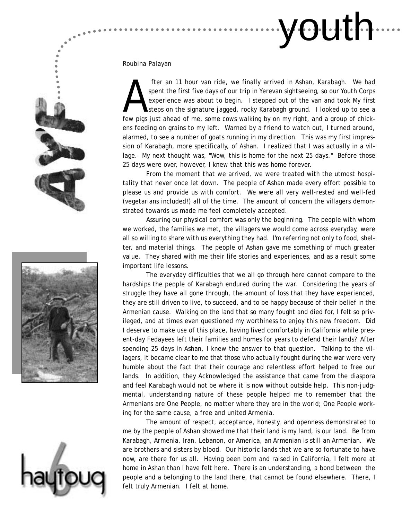

### *Roubina Palayan*

fter an 11 hour van ride, we finally arrived in Ashan, Karabagh. We had<br>spent the first five days of our trip in Yerevan sightseeing, so our Youth Corps<br>experience was about to begin. I stepped out of the van and took My f spent the first five days of our trip in Yerevan sightseeing, so our Youth Corps experience was about to begin. I stepped out of the van and took My first steps on the signature jagged, rocky Karabagh ground. I looked up to see a few pigs just ahead of me, some cows walking by on my right, and a group of chickens feeding on grains to my left. Warned by a friend to watch out, I turned around, alarmed, to see a number of goats running in my direction. This was my first impression of Karabagh, more specifically, of Ashan. I realized that I was actually in a village. My next thought was, "Wow, this is home for the next 25 days." Before those 25 days were over, however, I knew that this was home forever.

From the moment that we arrived, we were treated with the utmost hospitality that never once let down. The people of Ashan made every effort possible to please us and provide us with comfort. We were all very well-rested and well-fed (vegetarians included!) all of the time. The amount of concern the villagers demonstrated towards us made me feel completely accepted.

Assuring our physical comfort was only the beginning. The people with whom we worked, the families we met, the villagers we would come across everyday, were all so willing to share with us everything they had. I'm referring not only to food, shelter, and material things. The people of Ashan gave me something of much greater value. They shared with me their life stories and experiences, and as a result some important life lessons.

The everyday difficulties that we all go through here cannot compare to the hardships the people of Karabagh endured during the war. Considering the years of struggle they have all gone through, the amount of loss that they have experienced, they are still driven to live, to succeed, and to be happy because of their belief in the Armenian cause. Walking on the land that so many fought and died for, I felt so privileged, and at times even questioned my worthiness to enjoy this new freedom. Did I deserve to make use of this place, having lived comfortably in California while present-day Fedayees left their families and homes for years to defend their lands? After spending 25 days in Ashan, I knew the answer to that question. Talking to the villagers, it became clear to me that those who actually fought during the war were very humble about the fact that their courage and relentless effort helped to free our lands. In addition, they Acknowledged the assistance that came from the diaspora and feel Karabagh would not be where it is now without outside help. This non-judgmental, understanding nature of these people helped me to remember that the Armenians are One People, no matter where they are in the world; One People working for the same cause, a free and united Armenia.

The amount of respect, acceptance, honesty, and openness demonstrated to me by the people of Ashan showed me that their land is my land, is our land. Be from Karabagh, Armenia, Iran, Lebanon, or America, an Armenian is still an Armenian. We are brothers and sisters by blood. Our historic lands that we are so fortunate to have now, are there for us all. Having been born and raised in California, I felt more at home in Ashan than I have felt here. There is an understanding, a bond between the people and a belonging to the land there, that cannot be found elsewhere. There, I felt truly Armenian. I felt at home.





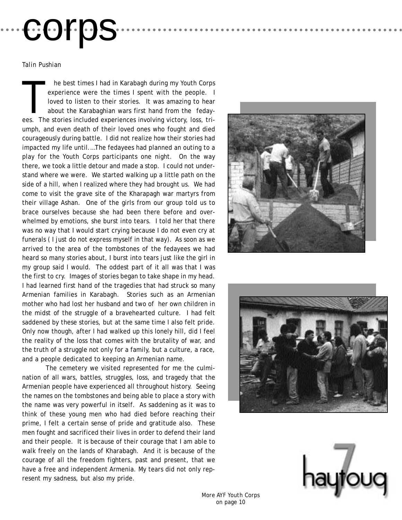# corps

*Talin Pushian*

he best times I had in Karabagh during my Youth Corps experience were the times I spent with the people. I loved to listen to their stories. It was amazing to hear about the Karabaghian wars first hand from the fedayees. The stories included experiences involving victory, loss, triumph, and even death of their loved ones who fought and died courageously during battle. I did not realize how their stories had impacted my life until.…The fedayees had planned an outing to a play for the Youth Corps participants one night. On the way there, we took a little detour and made a stop. I could not understand where we were. We started walking up a little path on the side of a hill, when I realized where they had brought us. We had come to visit the grave site of the Kharapagh war martyrs from their village Ashan. One of the girls from our group told us to brace ourselves because she had been there before and overwhelmed by emotions, she burst into tears. I told her that there was no way that I would start crying because I do not even cry at funerals ( I just do not express myself in that way). As soon as we arrived to the area of the tombstones of the fedayees we had heard so many stories about, I burst into tears just like the girl in my group said I would. The oddest part of it all was that I was the first to cry. Images of stories began to take shape in my head. I had learned first hand of the tragedies that had struck so many Armenian families in Karabagh. Stories such as an Armenian mother who had lost her husband and two of her own children in the midst of the struggle of a bravehearted culture. I had felt saddened by these stories, but at the same time I also felt pride. Only now though, after I had walked up this lonely hill, did I feel the reality of the loss that comes with the brutality of war, and the truth of a struggle not only for a family, but a culture, a race, and a people dedicated to keeping an Armenian name.

The cemetery we visited represented for me the culmination of all wars, battles, struggles, loss, and tragedy that the Armenian people have experienced all throughout history. Seeing the names on the tombstones and being able to place a story with the name was very powerful in itself. As saddening as it was to think of these young men who had died before reaching their prime, I felt a certain sense of pride and gratitude also. These men fought and sacrificed their lives in order to defend their land and their people. It is because of their courage that I am able to walk freely on the lands of Kharabagh. And it is because of the courage of all the freedom fighters, past and present, that we have a free and independent Armenia. My tears did not only represent my sadness, but also my pride.







*More AYF Youth Corps on page 10*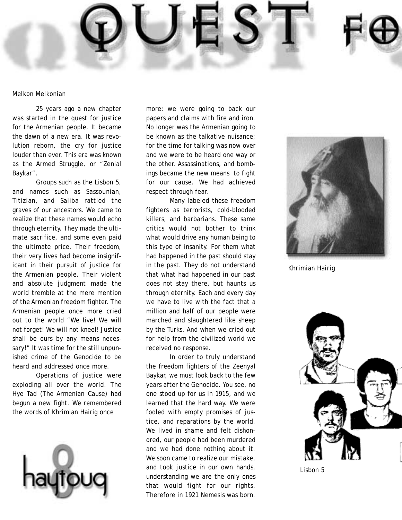

### *Melkon Melkonian*

25 years ago a new chapter was started in the quest for justice for the Armenian people. It became the dawn of a new era. It was revolution reborn, the cry for justice louder than ever. This era was known as the Armed Struggle, or "Zenial Baykar".

Groups such as the Lisbon 5, and names such as Sassounian, Titizian, and Saliba rattled the graves of our ancestors. We came to realize that these names would echo through eternity. They made the ultimate sacrifice, and some even paid the ultimate price. Their freedom, their very lives had become insignificant in their pursuit of justice for the Armenian people. Their violent and absolute judgment made the world tremble at the mere mention of the Armenian freedom fighter. The Armenian people once more cried out to the world "We live! We will not forget! We will not kneel! Justice shall be ours by any means necessary!" It was time for the still unpunished crime of the Genocide to be heard and addressed once more.

Operations of justice were exploding all over the world. The Hye Tad (The Armenian Cause) had begun a new fight. We remembered the words of Khrimian Hairig once



more; we were going to back our papers and claims with fire and iron. No longer was the Armenian going to be known as the talkative nuisance; for the time for talking was now over and we were to be heard one way or the other. Assassinations, and bombings became the new means to fight for our cause. We had achieved respect through fear.

Many labeled these freedom fighters as terrorists, cold-blooded killers, and barbarians. These same critics would not bother to think what would drive any human being to this type of insanity. For them what had happened in the past should stay in the past. They do not understand that what had happened in our past does not stay there, but haunts us through eternity. Each and every day we have to live with the fact that a million and half of our people were marched and slaughtered like sheep by the Turks. And when we cried out for help from the civilized world we received no response.

In order to truly understand the freedom fighters of the Zeenyal Baykar, we must look back to the few years after the Genocide. You see, no one stood up for us in 1915, and we learned that the hard way. We were fooled with empty promises of justice, and reparations by the world. We lived in shame and felt dishonored, our people had been murdered and we had done nothing about it. We soon came to realize our mistake, and took justice in our own hands, understanding we are the only ones that would fight for our rights. Therefore in 1921 Nemesis was born.



*Khrimian Hairig*



*Lisbon 5*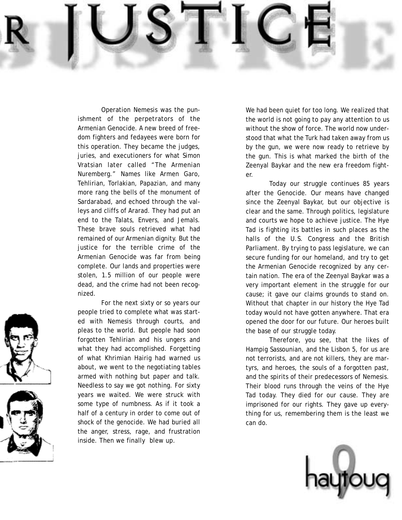Operation Nemesis was the punishment of the perpetrators of the Armenian Genocide. A new breed of freedom fighters and fedayees were born for this operation. They became the judges, juries, and executioners for what Simon Vratsian later called "The Armenian Nuremberg." Names like Armen Garo, Tehlirian, Torlakian, Papazian, and many more rang the bells of the monument of Sardarabad, and echoed through the valleys and cliffs of Ararad. They had put an end to the Talats, Envers, and Jemals. These brave souls retrieved what had remained of our Armenian dignity. But the justice for the terrible crime of the Armenian Genocide was far from being complete. Our lands and properties were stolen, 1.5 million of our people were dead, and the crime had not been recognized.

For the next sixty or so years our people tried to complete what was started with Nemesis through courts, and pleas to the world. But people had soon forgotten Tehlirian and his ungers and what they had accomplished. Forgetting of what Khrimian Hairig had warned us about, we went to the negotiating tables armed with nothing but paper and talk. Needless to say we got nothing. For sixty years we waited. We were struck with some type of numbness. As if it took a half of a century in order to come out of shock of the genocide. We had buried all the anger, stress, rage, and frustration inside. Then we finally blew up.

We had been quiet for too long. We realized that the world is not going to pay any attention to us without the show of force. The world now understood that what the Turk had taken away from us by the gun, we were now ready to retrieve by the gun. This is what marked the birth of the Zeenyal Baykar and the new era freedom fighter.

Today our struggle continues 85 years after the Genocide. Our means have changed since the Zeenyal Baykar, but our objective is clear and the same. Through politics, legislature and courts we hope to achieve justice. The Hye Tad is fighting its battles in such places as the halls of the U.S. Congress and the British Parliament. By trying to pass legislature, we can secure funding for our homeland, and try to get the Armenian Genocide recognized by any certain nation. The era of the Zeenyal Baykar was a very important element in the struggle for our cause; it gave our claims grounds to stand on. Without that chapter in our history the Hye Tad today would not have gotten anywhere. That era opened the door for our future. Our heroes built the base of our struggle today.

Therefore, you see, that the likes of Hampig Sassounian, and the Lisbon 5, for us are not terrorists, and are not killers, they are martyrs, and heroes, the souls of a forgotten past, and the spirits of their predecessors of Nemesis. Their blood runs through the veins of the Hye Tad today. They died for our cause. They are imprisoned for our rights. They gave up everything for us, remembering them is the least we can do.





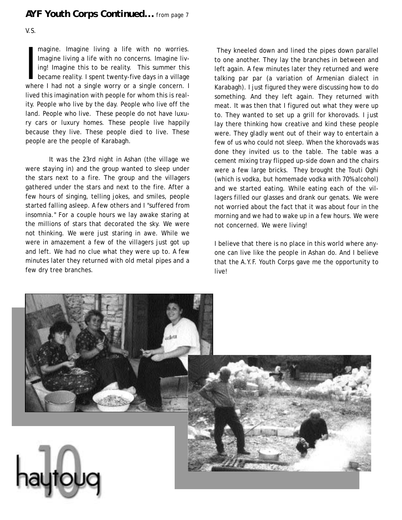### *AYF Youth Corps Continued... from page 7*

V.S.

magine. Imagine living a life with no worries.<br>Imagine living a life with no concerns. Imagine living! Imagine this to be reality. This summer this<br>became reality. I spent twenty-five days in a village<br>where I had not a si magine. Imagine living a life with no worries. Imagine living a life with no concerns. Imagine living! Imagine this to be reality. This summer this became reality. I spent twenty-five days in a village lived this imagination with people for whom this is reality. People who live by the day. People who live off the land. People who live. These people do not have luxury cars or luxury homes. These people live happily because they live. These people died to live. These people are the people of Karabagh.

It was the 23rd night in Ashan (the village we were staying in) and the group wanted to sleep under the stars next to a fire. The group and the villagers gathered under the stars and next to the fire. After a few hours of singing, telling jokes, and smiles, people started falling asleep. A few others and I "suffered from insomnia." For a couple hours we lay awake staring at the millions of stars that decorated the sky. We were not thinking. We were just staring in awe. While we were in amazement a few of the villagers just got up and left. We had no clue what they were up to. A few minutes later they returned with old metal pipes and a few dry tree branches.

They kneeled down and lined the pipes down parallel to one another. They lay the branches in between and left again. A few minutes later they returned and were talking par par (a variation of Armenian dialect in Karabagh). I just figured they were discussing how to do something. And they left again. They returned with meat. It was then that I figured out what they were up to. They wanted to set up a grill for khorovads. I just lay there thinking how creative and kind these people were. They gladly went out of their way to entertain a few of us who could not sleep. When the khorovads was done they invited us to the table. The table was a cement mixing tray flipped up-side down and the chairs were a few large bricks. They brought the Touti Oghi (which is vodka, but homemade vodka with 70% alcohol) and we started eating. While eating each of the villagers filled our glasses and drank our genats. We were not worried about the fact that it was about four in the morning and we had to wake up in a few hours. We were not concerned. We were living!

I believe that there is no place in this world where anyone can live like the people in Ashan do. And I believe that the A.Y.F. Youth Corps gave me the opportunity to live!

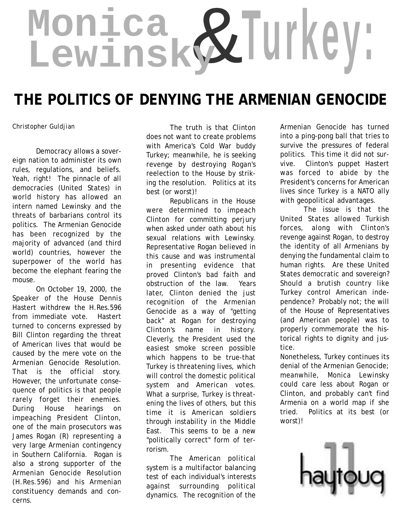# & **Monica Lewinsky Turkey:**

# **THE POLITICS OF DENYING THE ARMENIAN GENOCIDE**

Democracy allows a sovereign nation to administer its own rules, regulations, and beliefs. Yeah, right! The pinnacle of all democracies (United States) in world history has allowed an intern named Lewinsky and the threats of barbarians control its politics. The Armenian Genocide has been recognized by the majority of advanced (and third world) countries, however the superpower of the world has become the elephant fearing the mouse.

On October 19, 2000, the Speaker of the House Dennis Hastert withdrew the H.Res.596 from immediate vote. Hastert turned to concerns expressed by Bill Clinton regarding the threat of American lives that would be caused by the mere vote on the Armenian Genocide Resolution. That is the official story. However, the unfortunate consequence of politics is that people rarely forget their enemies. During House hearings on impeaching President Clinton, one of the main prosecutors was James Rogan (R) representing a very large Armenian contingency in Southern California. Rogan is also a strong supporter of the Armenian Genocide Resolution (H.Res.596) and his Armenian constituency demands and concerns.

*Christopher Guldjian* The truth is that Clinton does not want to create problems with America's Cold War buddy Turkey; meanwhile, he is seeking revenge by destroying Rogan's reelection to the House by striking the resolution. Politics at its best (or worst)!

Republicans in the House were determined to impeach Clinton for committing perjury when asked under oath about his sexual relations with Lewinsky. Representative Rogan believed in this cause and was instrumental in presenting evidence that proved Clinton's bad faith and obstruction of the law. Years later, Clinton denied the just recognition of the Armenian Genocide as a way of "getting back" at Rogan for destroying Clinton's name in history. Cleverly, the President used the easiest smoke screen possible which happens to be true-that Turkey is threatening lives, which will control the domestic political system and American votes. What a surprise, Turkey is threatening the lives of others, but this time it is American soldiers through instability in the Middle East. This seems to be a new "politically correct" form of terrorism.

The American political system is a multifactor balancing test of each individual's interests against surrounding political dynamics. The recognition of the

Armenian Genocide has turned into a ping-pong ball that tries to survive the pressures of federal politics. This time it did not survive. Clinton's puppet Hastert was forced to abide by the President's concerns for American lives since Turkey is a NATO ally with geopolitical advantages.

The issue is that the United States allowed Turkish forces, along with Clinton's revenge against Rogan, to destroy the identity of all Armenians by denying the fundamental claim to human rights. Are these United States democratic and sovereign? Should a brutish country like Turkey control American independence? Probably not; the will of the House of Representatives (and American people) was to properly commemorate the historical rights to dignity and justice.

Nonetheless, Turkey continues its denial of the Armenian Genocide; meanwhile, Monica Lewinsky could care less about Rogan or Clinton, and probably can't find Armenia on a world map if she tried. Politics at its best (or worst)!

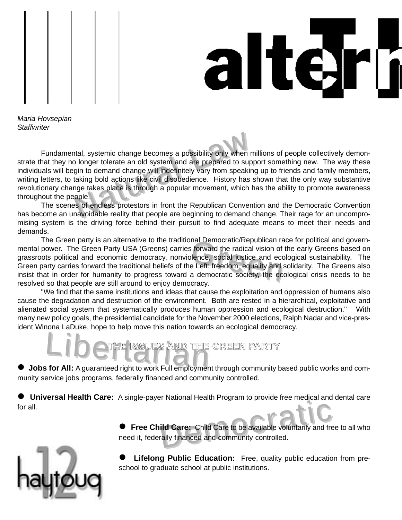



*Maria Hovsepian Staffwriter*

The systemic change becomes a possibility only when<br>a longer tolerate an old system and are prepared to sure<br>igin to demand change will indefinitely vary from speakit<br>taking bold actions like civil disobedience. History ha Fundamental, systemic change becomes a possibility only when millions of people collectively demonstrate that they no longer tolerate an old system and are prepared to support something new. The way these individuals will begin to demand change will indefinitely vary from speaking up to friends and family members, writing letters, to taking bold actions like civil disobedience. History has shown that the only way substantive revolutionary change takes place is through a popular movement, which has the ability to promote awareness throughout the people.

The scenes of endless protestors in front the Republican Convention and the Democratic Convention has become an unavoidable reality that people are beginning to demand change. Their rage for an uncompromising system is the driving force behind their pursuit to find adequate means to meet their needs and demands.

nal Democratic/Republican random<br>information of<br>indice, social justice and eccents:<br>freedom, equality and<br>a democratic society, the ec The Green party is an alternative to the traditional Democratic/Republican race for political and governmental power. The Green Party USA (Greens) carries forward the radical vision of the early Greens based on grassroots political and economic democracy, nonviolence, social justice and ecological sustainability. The Green party carries forward the traditional beliefs of the Left: freedom, equality and solidarity. The Greens also insist that in order for humanity to progress toward a democratic society, the ecological crisis needs to be resolved so that people are still around to enjoy democracy.

"We find that the same institutions and ideas that cause the exploitation and oppression of humans also cause the degradation and destruction of the environment. Both are rested in a hierarchical, exploitative and alienated social system that systematically produces human oppression and ecological destruction." With many new policy goals, the presidential candidate for the November 2000 elections, Ralph Nadar and vice-president Winona LaDuke, hope to help move this nation towards an ecological democracy.

# LibeTHE ISSUES AND THE **THE ISSUES AND THE GREEN PARTY**

! **Jobs for All:** A guaranteed right to work Full employment through community based public works and community service jobs programs, federally financed and community controlled.

! **Universal Health Care:** A single-payer National Health Program to provide free medical and dental care for all.



**Id Care:** Child Care to be available voluntarily and free ally financed and community controlled. ! **Free Child Care:** Child Care to be available voluntarily and free to all who need it, federally financed and community controlled.

**Lifelong Public Education:** Free, quality public education from preschool to graduate school at public institutions.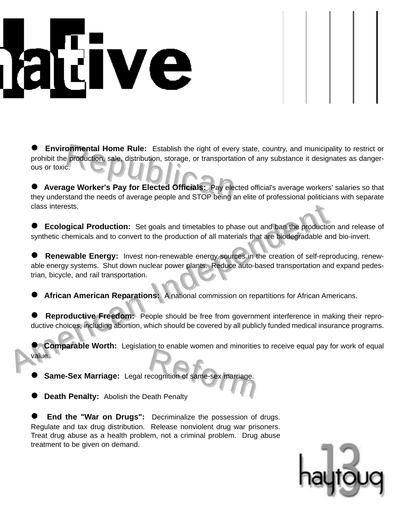# dve

Donmental Home Rule: Establish the right of every production, sale, distribution, storage, or transportary.<br>
States of the sale of the same of the state of the sale of the sale of the sale of the sale of the stars and stop ! **Environmental Home Rule:** Establish the right of every state, country, and municipality to restrict or prohibit the production, sale, distribution, storage, or transportation of any substance it designates as dangerous or toxic.

! **Average Worker's Pay for Elected Officials:** Pay elected official's average workers' salaries so that they understand the needs of average people and STOP being an elite of professional politicians with separate class interests.

**Ecological Production:** Set goals and timetables to phase out and ban the production and release of synthetic chemicals and to convert to the production of all materials that are biodegradable and bio-invert.

Consideration and time tables to phase out and ban the production and the state of the state of the production of all materials that are biodegradable and the production of all materials that are biodegradable and **Conser Renewable Energy:** Invest non-renewable energy sources in the creation of self-reproducing, renewable energy systems. Shut down nuclear power plants. Reduce auto-based transportation and expand pedestrian, bicycle, and rail transportation.

African American Reparations: A national commission on repartitions for African Americans.

Reproductive Freedom: People should be free from government interference in making their reproductive choices, including abortion, which should be covered by all publicly funded medical insurance programs.

ecognition of same-sex marriage. **Comparable Worth:** Legislation to enable women and minorities to receive equal pay for work of equal value.

! **Same-Sex Marriage:** Legal recognition of same-sex marriage.

**Death Penalty:** Abolish the Death Penalty

**End the "War on Drugs":** Decriminalize the possession of drugs. Regulate and tax drug distribution. Release nonviolent drug war prisoners. Treat drug abuse as a health problem, not a criminal problem. Drug abuse treatment to be given on demand.

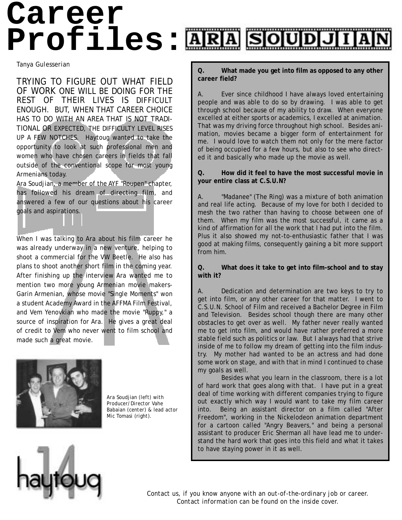# **Career Profiles:**

*Tanya Gulesserian*

TRYING TO FIGURE OUT WHAT FIELD OF WORK ONE WILL BE DOING FOR THE REST OF THEIR LIVES IS DIFFICULT ENOUGH. BUT, WHEN THAT CAREER CHOICE HAS TO DO WITH AN AREA THAT IS NOT TRADI-TIONAL OR EXPECTED, THE DIFFICULTY LEVEL RISES UP A FEW NOTCHES. Haytoug wanted to take the opportunity to look at such professional men and women who have chosen careers in fields that fall outside of the conventional scope for most young Armenians today.

Ara Soudjian, a member of the AYF "Roupen" chapter, has followed his dream of directing film, and answered a few of our questions about his career goals and aspirations.

When I was talking to Ara about his film career he was already underway in a new venture, helping to shoot a commercial for the VW Beetle. He also has plans to shoot another short film in the coming year. After finishing up the interview Ara wanted me to mention two more young Armenian movie makers-Garin Armenian, whose movie "Single Moments" won a student Academy Award in the AFFMA Film Festival, and Vem Yenovkian who made the movie "Ruppy," a source of inspiration for Ara. He gives a great deal of credit to Vem who never went to film school and made such a great movie.



*Ara Soudjian (left) with Producer/Director Vahe Babaian (center) & lead actor Mic Tomasi (right).*

**Q. What made you get into film as opposed to any other career field?**

A. Ever since childhood I have always loved entertaining people and was able to do so by drawing. I was able to get through school because of my ability to draw. When everyone excelled at either sports or academics, I excelled at animation. That was my driving force throughout high school. Besides animation, movies became a bigger form of entertainment for me. I would love to watch them not only for the mere factor of being occupied for a few hours, but also to see who directed it and basically who made up the movie as well.

### **Q. How did it feel to have the most successful movie in your entire class at C.S.U.N?**

A. "Madanee" (The Ring) was a mixture of both animation and real life acting. Because of my love for both I decided to mesh the two rather than having to choose between one of them. When my film was the most successful, it came as a kind of affirmation for all the work that I had put into the film. Plus it also showed my not-to-enthusiastic father that I was good at making films, consequently gaining a bit more support from him.

**Q. What does it take to get into film-school and to stay with it?**

A. Dedication and determination are two keys to try to get into film, or any other career for that matter. I went to C.S.U.N. School of Film and received a Bachelor Degree in Film and Television. Besides school though there are many other obstacles to get over as well. My father never really wanted me to get into film, and would have rather preferred a more stable field such as politics or law. But I always had that strive inside of me to follow my dream of getting into the film industry. My mother had wanted to be an actress and had done some work on stage, and with that in mind I continued to chase my goals as well.

Besides what you learn in the classroom, there is a lot of hard work that goes along with that. I have put in a great deal of time working with different companies trying to figure out exactly which way I would want to take my film career into. Being an assistant director on a film called "After Freedom", working in the Nickelodeon animation department for a cartoon called "Angry Beavers," and being a personal assistant to producer Eric Sherman all have lead me to understand the hard work that goes into this field and what it takes to have staying power in it as well.



*Contact us, if you know anyone with an out-of-the-ordinary job or career. Contact information can be found on the inside cover.*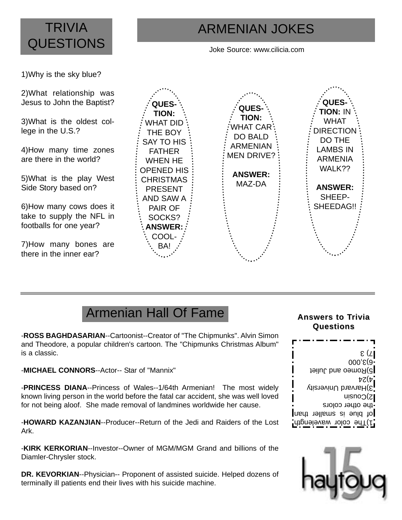## **TRIVIA QUESTIONS**

## ARMENIAN JOKES

Joke Source: www.cilicia.com

1)Why is the sky blue?

2)What relationship was Jesus to John the Baptist?

3)What is the oldest college in the U.S.?

4)How many time zones are there in the world?

5)What is the play West Side Story based on?

6)How many cows does it take to supply the NFL in footballs for one year?

7)How many bones are there in the inner ear?



## Armenian Hall Of Fame

-**ROSS BAGHDASARIAN**--Cartoonist--Creator of "The Chipmunks". Alvin Simon and Theodore, a popular children's cartoon. The "Chipmunks Christmas Album" is a classic.

-**MICHAEL CONNORS**--Actor-- Star of "Mannix"

-**PRINCESS DIANA**--Princess of Wales--1/64th Armenian! The most widely known living person in the world before the fatal car accident, she was well loved for not being aloof. She made removal of landmines worldwide her cause.

-**HOWARD KAZANJIAN**--Producer--Return of the Jedi and Raiders of the Lost Ark.

-**KIRK KERKORIAN**--Investor--Owner of MGM/MGM Grand and billions of the Diamler-Chrysler stock.

**DR. KEVORKIAN**--Physician-- Proponent of assisted suicide. Helped dozens of terminally ill patients end their lives with his suicide machine.

### **Answers to T Answers to Trivia Questions Questions**